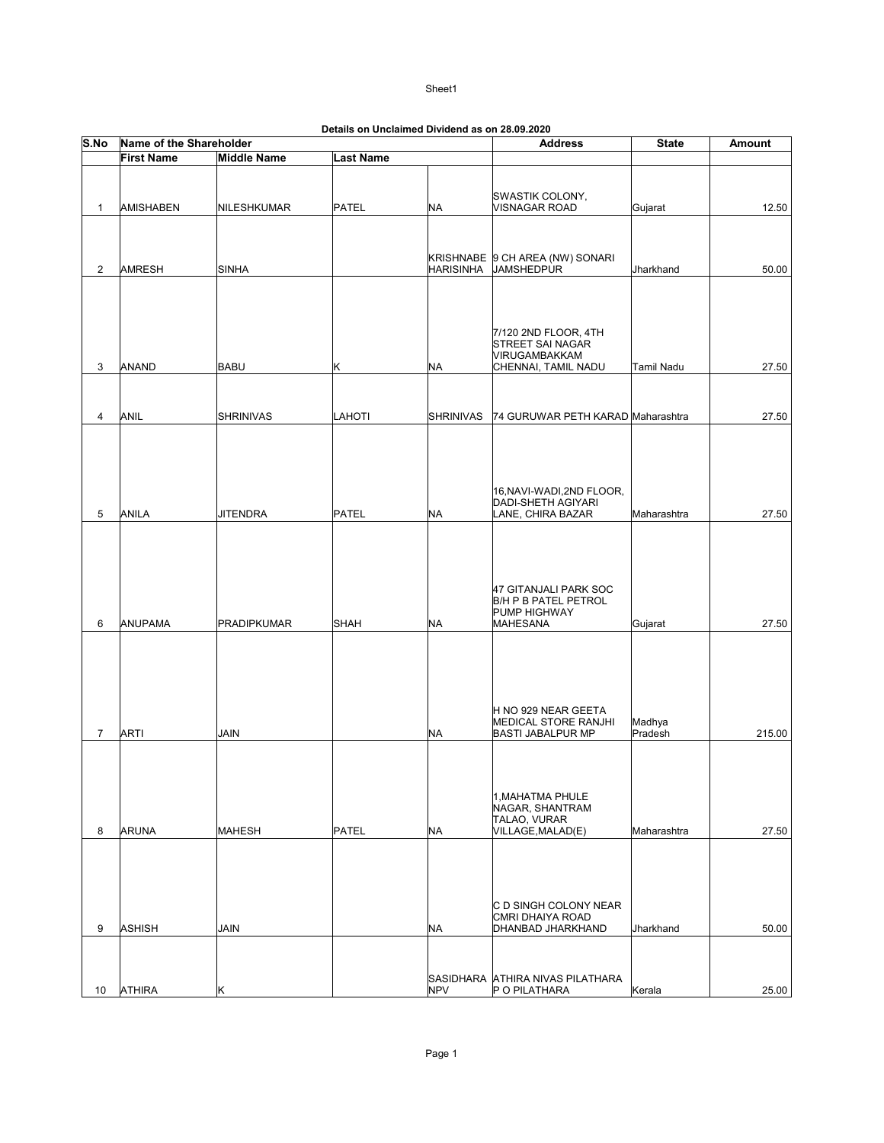| S.No           | Name of the Shareholder |                    |             | Details on Unclaimed Dividend as on 26.09.2020 | <b>Address</b>                           | <b>State</b> | Amount |
|----------------|-------------------------|--------------------|-------------|------------------------------------------------|------------------------------------------|--------------|--------|
|                | <b>First Name</b>       | <b>Middle Name</b> | Last Name   |                                                |                                          |              |        |
|                |                         |                    |             |                                                |                                          |              |        |
|                |                         |                    |             |                                                |                                          |              |        |
| $\mathbf{1}$   | <b>AMISHABEN</b>        | NILESHKUMAR        | PATEL       | <b>NA</b>                                      | SWASTIK COLONY,<br>VISNAGAR ROAD         | Gujarat      | 12.50  |
|                |                         |                    |             |                                                |                                          |              |        |
|                |                         |                    |             |                                                |                                          |              |        |
|                |                         |                    |             |                                                | KRISHNABE 9 CH AREA (NW) SONARI          |              |        |
| $\overline{2}$ | <b>AMRESH</b>           | <b>SINHA</b>       |             | <b>HARISINHA</b>                               | <b>JAMSHEDPUR</b>                        | Jharkhand    | 50.00  |
|                |                         |                    |             |                                                |                                          |              |        |
|                |                         |                    |             |                                                |                                          |              |        |
|                |                         |                    |             |                                                |                                          |              |        |
|                |                         |                    |             |                                                | 7/120 2ND FLOOR, 4TH<br>STREET SAI NAGAR |              |        |
|                |                         |                    |             |                                                | VIRUGAMBAKKAM                            |              |        |
| 3              | ANAND                   | <b>BABU</b>        | K           | NA                                             | CHENNAI, TAMIL NADU                      | Tamil Nadu   | 27.50  |
|                |                         |                    |             |                                                |                                          |              |        |
|                |                         |                    |             |                                                |                                          |              |        |
| 4              | ANIL                    | <b>SHRINIVAS</b>   | LAHOTI      | <b>SHRINIVAS</b>                               | 74 GURUWAR PETH KARAD Maharashtra        |              | 27.50  |
|                |                         |                    |             |                                                |                                          |              |        |
|                |                         |                    |             |                                                |                                          |              |        |
|                |                         |                    |             |                                                |                                          |              |        |
|                |                         |                    |             |                                                | 16, NAVI-WADI, 2ND FLOOR,                |              |        |
|                |                         |                    |             |                                                | DADI-SHETH AGIYARI                       |              |        |
| 5              | ANILA                   | <b>JITENDRA</b>    | PATEL       | <b>NA</b>                                      | LANE, CHIRA BAZAR                        | Maharashtra  | 27.50  |
|                |                         |                    |             |                                                |                                          |              |        |
|                |                         |                    |             |                                                |                                          |              |        |
|                |                         |                    |             |                                                |                                          |              |        |
|                |                         |                    |             |                                                | 47 GITANJALI PARK SOC                    |              |        |
|                |                         |                    |             |                                                | <b>B/H P B PATEL PETROL</b>              |              |        |
| 6              | ANUPAMA                 | <b>PRADIPKUMAR</b> | <b>SHAH</b> | <b>NA</b>                                      | PUMP HIGHWAY<br>MAHESANA                 | Gujarat      | 27.50  |
|                |                         |                    |             |                                                |                                          |              |        |
|                |                         |                    |             |                                                |                                          |              |        |
|                |                         |                    |             |                                                |                                          |              |        |
|                |                         |                    |             |                                                |                                          |              |        |
|                |                         |                    |             |                                                | H NO 929 NEAR GEETA                      |              |        |
|                |                         |                    |             |                                                | MEDICAL STORE RANJHI                     | Madhya       |        |
| $\overline{7}$ | <b>ARTI</b>             | <b>JAIN</b>        |             | NA                                             | <b>BASTI JABALPUR MP</b>                 | Pradesh      | 215.00 |
|                |                         |                    |             |                                                |                                          |              |        |
|                |                         |                    |             |                                                |                                          |              |        |
|                |                         |                    |             |                                                | 1, MAHATMA PHULE                         |              |        |
|                |                         |                    |             |                                                | NAGAR, SHANTRAM                          |              |        |
| 8              | <b>ARUNA</b>            | <b>MAHESH</b>      | PATEL       | <b>NA</b>                                      | TALAO, VURAR<br>VILLAGE, MALAD(E)        | Maharashtra  | 27.50  |
|                |                         |                    |             |                                                |                                          |              |        |
|                |                         |                    |             |                                                |                                          |              |        |
|                |                         |                    |             |                                                |                                          |              |        |
|                |                         |                    |             |                                                |                                          |              |        |
|                |                         |                    |             |                                                | C D SINGH COLONY NEAR                    |              |        |
| 9              | <b>ASHISH</b>           | <b>JAIN</b>        |             | NA                                             | CMRI DHAIYA ROAD<br>DHANBAD JHARKHAND    | Jharkhand    | 50.00  |
|                |                         |                    |             |                                                |                                          |              |        |
|                |                         |                    |             |                                                |                                          |              |        |
|                |                         |                    |             |                                                | SASIDHARA ATHIRA NIVAS PILATHARA         |              |        |
| 10             | <b>ATHIRA</b>           | κ                  |             | <b>NPV</b>                                     | P O PILATHARA                            | Kerala       | 25.00  |

| Details on Unclaimed Dividend as on 28.09.2020 |
|------------------------------------------------|
|------------------------------------------------|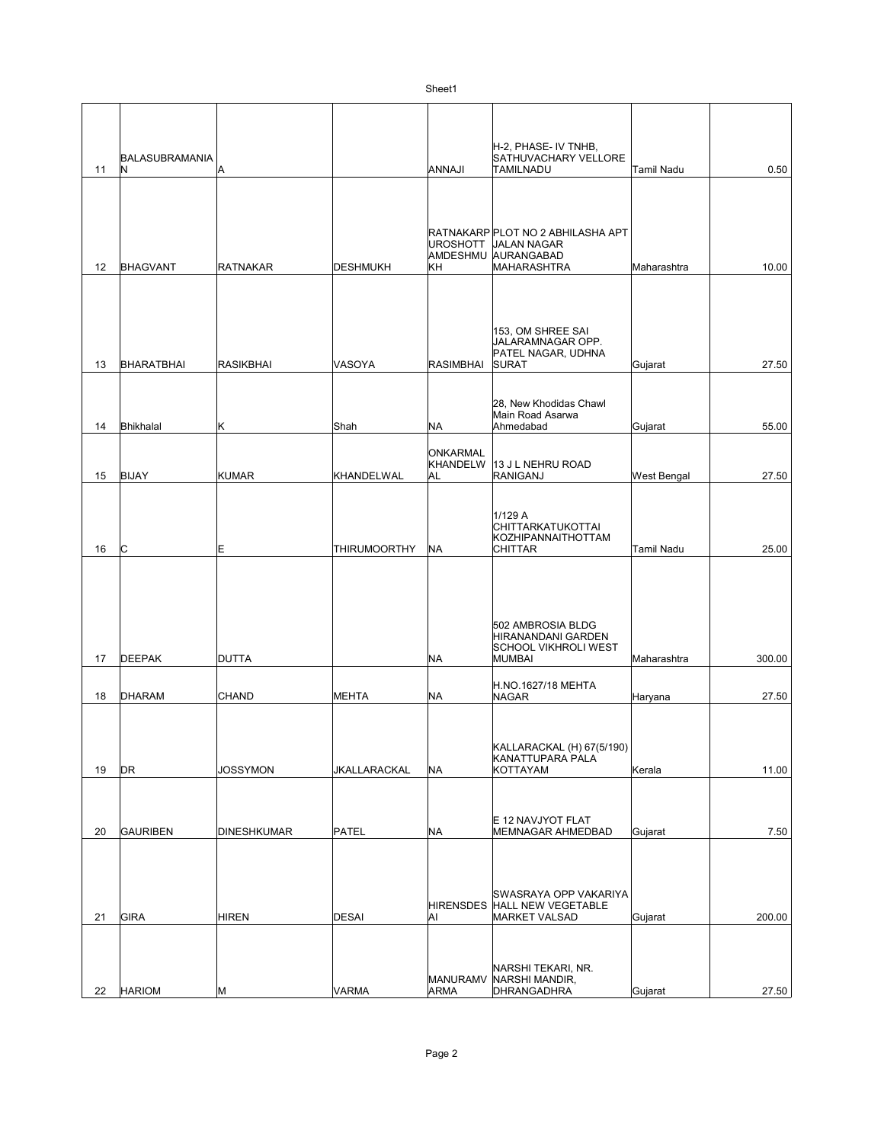|          |                       |                    |                              |                                          | H-2, PHASE- IV TNHB,                                                                                 |                    |                 |
|----------|-----------------------|--------------------|------------------------------|------------------------------------------|------------------------------------------------------------------------------------------------------|--------------------|-----------------|
| 11       | BALASUBRAMANIA<br>IN. | Α                  |                              | <b>ANNAJI</b>                            | SATHUVACHARY VELLORE<br><b>TAMILNADU</b>                                                             | <b>Tamil Nadu</b>  | 0.50            |
| 12       | <b>BHAGVANT</b>       | <b>RATNAKAR</b>    | DESHMUKH                     | <b>UROSHOTT</b><br>KH                    | RATNAKARP PLOT NO 2 ABHILASHA APT<br><b>JALAN NAGAR</b><br>AMDESHMU AURANGABAD<br><b>MAHARASHTRA</b> | Maharashtra        | 10.00           |
| 13       | BHARATBHAI            | <b>RASIKBHAI</b>   | VASOYA                       | <b>RASIMBHAI</b>                         | 153, OM SHREE SAI<br>JALARAMNAGAR OPP.<br>PATEL NAGAR, UDHNA<br><b>SURAT</b>                         | Gujarat            | 27.50           |
| 14       | Bhikhalal             | Κ                  | Shah                         | NA                                       | 28, New Khodidas Chawl<br>Main Road Asarwa<br>Ahmedabad                                              | Gujarat            | 55.00           |
| 15       | <b>BIJAY</b>          | <b>KUMAR</b>       | KHANDELWAL                   | <b>ONKARMAL</b><br><b>KHANDELW</b><br>AL | 13 J L NEHRU ROAD<br>RANIGANJ                                                                        | <b>West Bengal</b> | 27.50           |
| 16       | lC.                   | E                  | <b>THIRUMOORTHY</b>          | <b>NA</b>                                | 1/129 A<br>CHITTARKATUKOTTAI<br><b>KOZHIPANNAITHOTTAM</b><br>CHITTAR                                 | Tamil Nadu         | 25.00           |
| 17       | <b>DEEPAK</b>         | <b>DUTTA</b>       |                              | <b>NA</b>                                | 502 AMBROSIA BLDG<br>HIRANANDANI GARDEN<br><b>SCHOOL VIKHROLI WEST</b><br><b>MUMBAI</b>              | Maharashtra        | 300.00          |
| 18       | DHARAM                | <b>CHAND</b>       | <b>MEHTA</b>                 | <b>NA</b>                                | H.NO.1627/18 MEHTA<br><b>NAGAR</b>                                                                   | Haryana            | 27.50           |
| 19       | DR                    | <b>JOSSYMON</b>    | JKALLARACKAL                 | <b>NA</b>                                | KALLARACKAL (H) 67(5/190)<br>KANATTUPARA PALA<br><b>KOTTAYAM</b>                                     | Kerala             | 11.00           |
| 20       | <b>GAURIBEN</b>       | <b>DINESHKUMAR</b> | PATEL                        | NA                                       | E 12 NAVJYOT FLAT<br>MEMNAGAR AHMEDBAD                                                               | Gujarat            | 7.50            |
|          |                       |                    |                              | <b>HIRENSDES</b>                         | SWASRAYA OPP VAKARIYA<br>HALL NEW VEGETABLE                                                          |                    |                 |
| 21<br>22 | GIRA<br><b>HARIOM</b> | <b>HIREN</b>       | <b>DESAI</b><br><b>VARMA</b> | Al<br><b>MANURAMV</b><br><b>ARMA</b>     | MARKET VALSAD<br>NARSHI TEKARI, NR.<br>NARSHI MANDIR,<br>DHRANGADHRA                                 | Gujarat<br>Gujarat | 200.00<br>27.50 |
|          |                       | М                  |                              |                                          |                                                                                                      |                    |                 |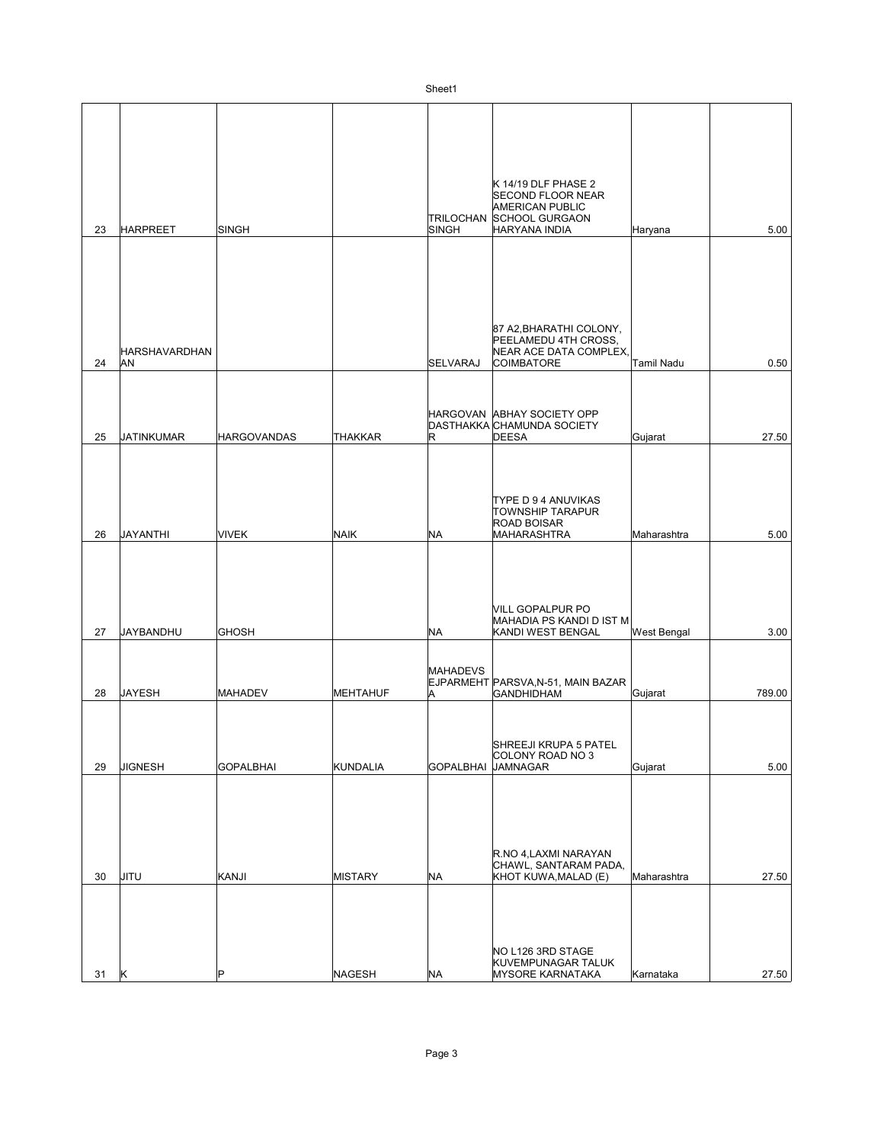| 23 | <b>HARPREET</b>            | <b>SINGH</b>       |                | <b>SINGH</b>         | K 14/19 DLF PHASE 2<br><b>SECOND FLOOR NEAR</b><br><b>AMERICAN PUBLIC</b><br>TRILOCHAN SCHOOL GURGAON<br>HARYANA INDIA | Haryana            | 5.00   |
|----|----------------------------|--------------------|----------------|----------------------|------------------------------------------------------------------------------------------------------------------------|--------------------|--------|
| 24 | <b>HARSHAVARDHAN</b><br>AN |                    |                | <b>SELVARAJ</b>      | 87 A2, BHARATHI COLONY,<br>PEELAMEDU 4TH CROSS,<br>NEAR ACE DATA COMPLEX,<br><b>COIMBATORE</b>                         | Tamil Nadu         | 0.50   |
|    |                            |                    |                |                      |                                                                                                                        |                    |        |
| 25 | <b>JATINKUMAR</b>          | <b>HARGOVANDAS</b> | THAKKAR        | lR.                  | HARGOVAN ABHAY SOCIETY OPP<br>DASTHAKKA CHAMUNDA SOCIETY<br><b>DEESA</b>                                               | Gujarat            | 27.50  |
| 26 | <b>JAYANTHI</b>            | <b>VIVEK</b>       | NAIK           | <b>NA</b>            | TYPE D 9 4 ANUVIKAS<br><b>TOWNSHIP TARAPUR</b><br>ROAD BOISAR<br>MAHARASHTRA                                           | Maharashtra        | 5.00   |
| 27 | JAYBANDHU                  | <b>GHOSH</b>       |                | <b>NA</b>            | VILL GOPALPUR PO<br>MAHADIA PS KANDI D IST M<br>KANDI WEST BENGAL                                                      | <b>West Bengal</b> | 3.00   |
| 28 | JAYESH                     | <b>MAHADEV</b>     | MEHTAHUF       | <b>MAHADEVS</b><br>A | EJPARMEHT PARSVA, N-51, MAIN BAZAR<br><b>GANDHIDHAM</b>                                                                | Gujarat            | 789.00 |
| 29 | <b>JIGNESH</b>             | <b>GOPALBHAI</b>   | KUNDALIA       | GOPALBHAI            | SHREEJI KRUPA 5 PATEL<br>COLONY ROAD NO 3<br>JAMNAGAR                                                                  | Gujarat            | 5.00   |
| 30 | JITU                       | KANJI              | <b>MISTARY</b> | <b>NA</b>            | R.NO 4,LAXMI NARAYAN<br>CHAWL, SANTARAM PADA,<br>KHOT KUWA,MALAD (E)                                                   | Maharashtra        | 27.50  |
| 31 | K                          | P                  | NAGESH         | <b>NA</b>            | NO L126 3RD STAGE<br>KUVEMPUNAGAR TALUK<br>MYSORE KARNATAKA                                                            | Karnataka          | 27.50  |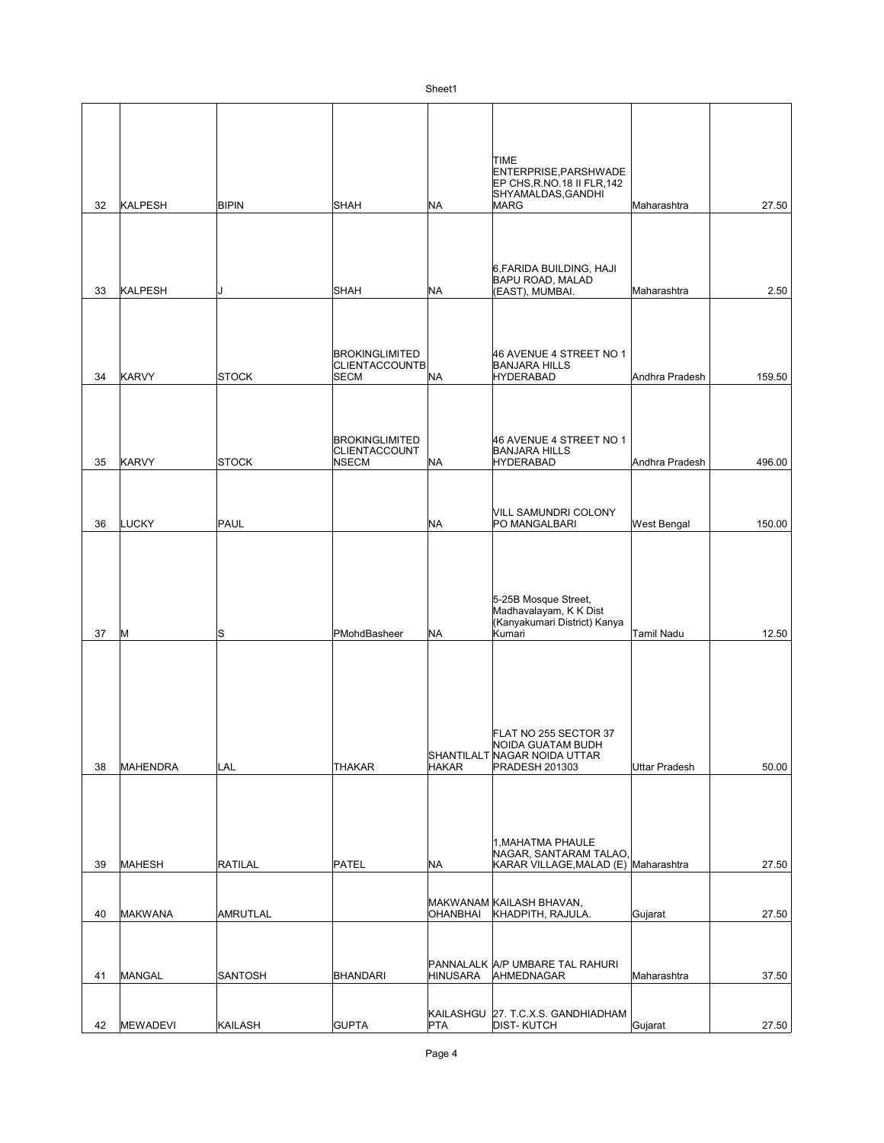| 32 | KALPESH         | <b>BIPIN</b>    | <b>SHAH</b>                                                   | <b>NA</b>       | TIME<br>ENTERPRISE, PARSHWADE<br>EP CHS, R.NO.18 II FLR, 142<br>SHYAMALDAS, GANDHI<br><b>MARG</b>   | Maharashtra          | 27.50  |
|----|-----------------|-----------------|---------------------------------------------------------------|-----------------|-----------------------------------------------------------------------------------------------------|----------------------|--------|
| 33 | KALPESH         |                 | <b>SHAH</b>                                                   | <b>NA</b>       | 6, FARIDA BUILDING, HAJI<br><b>BAPU ROAD, MALAD</b><br>(EAST), MUMBAI.                              | Maharashtra          | 2.50   |
| 34 | <b>KARVY</b>    | <b>STOCK</b>    | <b>BROKINGLIMITED</b><br><b>CLIENTACCOUNTB</b><br><b>SECM</b> | <b>NA</b>       | 46 AVENUE 4 STREET NO 1<br><b>BANJARA HILLS</b><br><b>HYDERABAD</b>                                 | Andhra Pradesh       | 159.50 |
| 35 | KARVY           | <b>STOCK</b>    | <b>BROKINGLIMITED</b><br>CLIENTACCOUNT<br><b>NSECM</b>        | <b>NA</b>       | 46 AVENUE 4 STREET NO 1<br><b>BANJARA HILLS</b><br><b>HYDERABAD</b>                                 | Andhra Pradesh       | 496.00 |
| 36 | LUCKY           | PAUL            |                                                               | <b>NA</b>       | VILL SAMUNDRI COLONY<br>PO MANGALBARI                                                               | West Bengal          | 150.00 |
| 37 | M               | lS              | PMohdBasheer                                                  | <b>NA</b>       | 5-25B Mosque Street,<br>Madhavalayam, K K Dist<br>Kanyakumari District) Kanya<br>Kumari             | Tamil Nadu           | 12.50  |
| 38 | MAHENDRA        | LAL             | THAKAR                                                        | <b>HAKAR</b>    | FLAT NO 255 SECTOR 37<br>NOIDA GUATAM BUDH<br>SHANTILALT NAGAR NOIDA UTTAR<br><b>PRADESH 201303</b> | <b>Uttar Pradesh</b> | 50.00  |
| 39 | <b>MAHESH</b>   | <b>RATILAL</b>  | <b>PATEL</b>                                                  | NA              | 1, MAHATMA PHAULE<br>NAGAR, SANTARAM TALAO,<br>KARAR VILLAGE, MALAD (E) Maharashtra                 |                      | 27.50  |
| 40 | MAKWANA         | <b>AMRUTLAL</b> |                                                               | OHANBHAI        | MAKWANAM KAILASH BHAVAN,<br>KHADPITH, RAJULA.                                                       | Gujarat              | 27.50  |
| 41 | MANGAL          | SANTOSH         | <b>BHANDARI</b>                                               | <b>HINUSARA</b> | PANNALALK A/P UMBARE TAL RAHURI<br>AHMEDNAGAR                                                       | Maharashtra          | 37.50  |
| 42 | <b>MEWADEVI</b> | <b>KAILASH</b>  | <b>GUPTA</b>                                                  | <b>PTA</b>      | KAILASHGU 27. T.C.X.S. GANDHIADHAM<br><b>DIST-KUTCH</b>                                             | Gujarat              | 27.50  |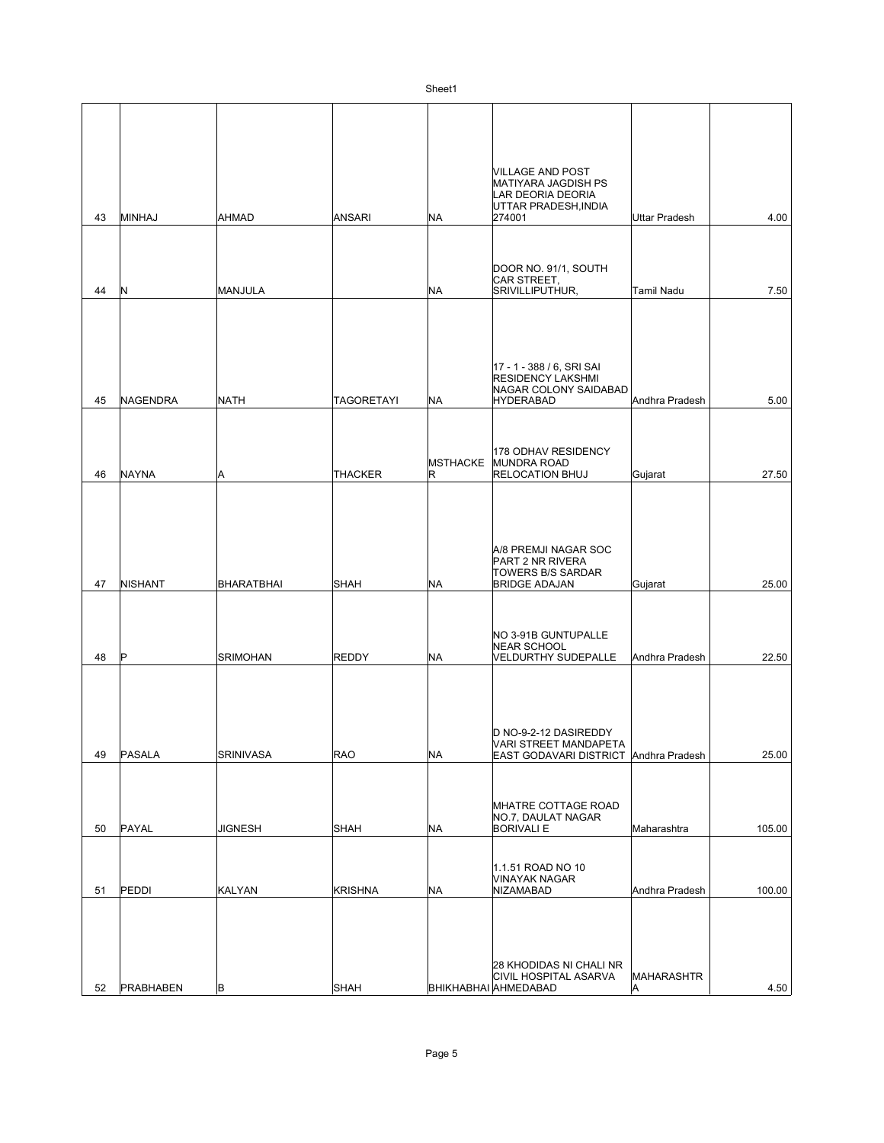| 43 |                |                   |                   |                      | VILLAGE AND POST<br>MATIYARA JAGDISH PS<br>LAR DEORIA DEORIA<br>UTTAR PRADESH, INDIA               |                   |        |
|----|----------------|-------------------|-------------------|----------------------|----------------------------------------------------------------------------------------------------|-------------------|--------|
|    | MINHAJ         | <b>AHMAD</b>      | ANSARI            | <b>NA</b>            | 274001                                                                                             | Uttar Pradesh     | 4.00   |
| 44 | Ν              | MANJULA           |                   | <b>NA</b>            | DOOR NO. 91/1, SOUTH<br>CAR STREET,<br>SRIVILLIPUTHUR,                                             | <b>Tamil Nadu</b> | 7.50   |
| 45 | NAGENDRA       | <b>NATH</b>       | <b>TAGORETAYI</b> | <b>NA</b>            | 17 - 1 - 388 / 6, SRI SAI<br><b>RESIDENCY LAKSHMI</b><br>NAGAR COLONY SAIDABAD<br><b>HYDERABAD</b> | Andhra Pradesh    | 5.00   |
| 46 | <b>NAYNA</b>   | A                 | <b>THACKER</b>    | <b>MSTHACKE</b><br>R | 178 ODHAV RESIDENCY<br><b>MUNDRA ROAD</b><br><b>RELOCATION BHUJ</b>                                | Gujarat           | 27.50  |
| 47 | <b>NISHANT</b> | <b>BHARATBHAI</b> | <b>SHAH</b>       | <b>NA</b>            | A/8 PREMJI NAGAR SOC<br>PART 2 NR RIVERA<br><b>TOWERS B/S SARDAR</b><br><b>BRIDGE ADAJAN</b>       | Gujarat           | 25.00  |
| 48 | ΙP             | <b>SRIMOHAN</b>   | <b>REDDY</b>      | <b>NA</b>            | NO 3-91B GUNTUPALLE<br><b>NEAR SCHOOL</b><br>VELDURTHY SUDEPALLE                                   | Andhra Pradesh    | 22.50  |
| 49 | PASALA         | <b>SRINIVASA</b>  | RAO               | <b>NA</b>            | D NO-9-2-12 DASIREDDY<br>VARI STREET MANDAPETA<br>EAST GODAVARI DISTRICT Andhra Pradesh            |                   | 25.00  |
| 50 | PAYAL          | <b>JIGNESH</b>    | <b>SHAH</b>       | <b>NA</b>            | MHATRE COTTAGE ROAD<br>NO.7, DAULAT NAGAR<br><b>BORIVALI E</b>                                     | Maharashtra       | 105.00 |
| 51 | PEDDI          | <b>KALYAN</b>     | <b>KRISHNA</b>    | <b>NA</b>            | 1.1.51 ROAD NO 10<br>VINAYAK NAGAR<br>NIZAMABAD                                                    | Andhra Pradesh    | 100.00 |
| 52 | PRABHABEN      | B                 | SHAH              |                      | 28 KHODIDAS NI CHALI NR<br>CIVIL HOSPITAL ASARVA<br>BHIKHABHAI AHMEDABAD                           | MAHARASHTR<br>A   | 4.50   |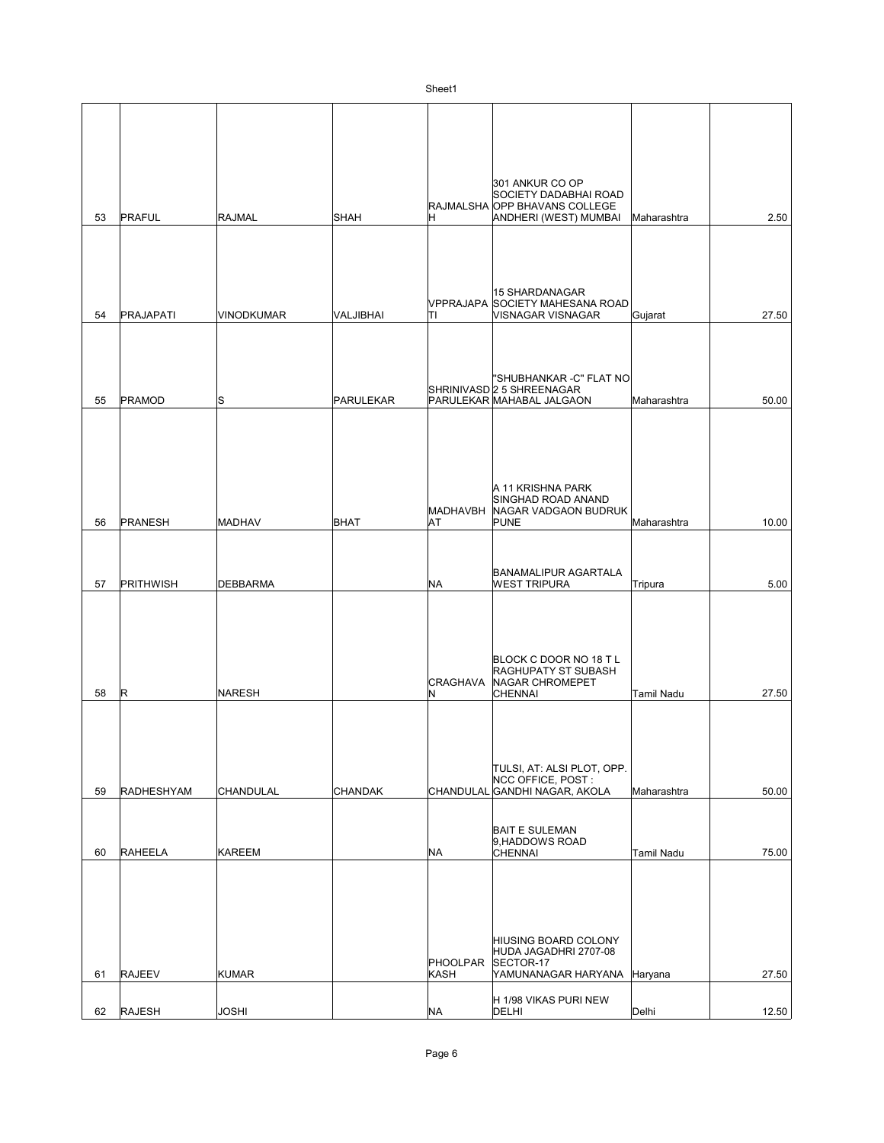| 53 | PRAFUL            | <b>RAJMAL</b>     | SHAH           | H                       | 301 ANKUR CO OP<br>SOCIETY DADABHAI ROAD<br>RAJMALSHA OPP BHAVANS COLLEGE<br>ANDHERI (WEST) MUMBAI | Maharashtra | 2.50  |
|----|-------------------|-------------------|----------------|-------------------------|----------------------------------------------------------------------------------------------------|-------------|-------|
|    |                   |                   |                |                         |                                                                                                    |             |       |
| 54 | PRAJAPATI         | <b>VINODKUMAR</b> | VALJIBHAI      | lτı                     | 15 SHARDANAGAR<br>VPPRAJAPA SOCIETY MAHESANA ROAD<br>VISNAGAR VISNAGAR                             | Gujarat     | 27.50 |
|    |                   |                   |                |                         |                                                                                                    |             |       |
| 55 | PRAMOD            | ls                | PARULEKAR      |                         | "SHUBHANKAR -C" FLAT NO<br>SHRINIVASD 2 5 SHREENAGAR<br>PARULEKAR MAHABAL JALGAON                  | Maharashtra | 50.00 |
| 56 | PRANESH           | <b>MADHAV</b>     | <b>BHAT</b>    | AT                      | A 11 KRISHNA PARK<br>SINGHAD ROAD ANAND<br>MADHAVBH NAGAR VADGAON BUDRUK<br>PUNE                   | Maharashtra | 10.00 |
|    |                   |                   |                |                         |                                                                                                    |             |       |
| 57 | <b>PRITHWISH</b>  | <b>DEBBARMA</b>   |                | <b>NA</b>               | <b>BANAMALIPUR AGARTALA</b><br><b>WEST TRIPURA</b>                                                 | Tripura     | 5.00  |
| 58 | R                 | <b>NARESH</b>     |                | <b>CRAGHAVA</b><br>N    | BLOCK C DOOR NO 18 T L<br>RAGHUPATY ST SUBASH<br>NAGAR CHROMEPET<br><b>CHENNAI</b>                 | Tamil Nadu  | 27.50 |
| 59 | <b>RADHESHYAM</b> | <b>CHANDULAL</b>  | <b>CHANDAK</b> |                         | TULSI, AT: ALSI PLOT, OPP.<br>NCC OFFICE, POST:<br>CHANDULAL GANDHI NAGAR, AKOLA                   | Maharashtra | 50.00 |
|    |                   |                   |                |                         | <b>BAIT E SULEMAN</b><br>9, HADDOWS ROAD                                                           |             |       |
| 60 | RAHEELA           | <b>KAREEM</b>     |                | NA                      | <b>CHENNAI</b>                                                                                     | Tamil Nadu  | 75.00 |
| 61 | <b>RAJEEV</b>     | <b>KUMAR</b>      |                | <b>PHOOLPAR</b><br>KASH | HIUSING BOARD COLONY<br>HUDA JAGADHRI 2707-08<br>SECTOR-17<br>YAMUNANAGAR HARYANA                  | Haryana     | 27.50 |
| 62 | RAJESH            | <b>JOSHI</b>      |                | <b>NA</b>               | H 1/98 VIKAS PURI NEW<br>DELHI                                                                     | Delhi       | 12.50 |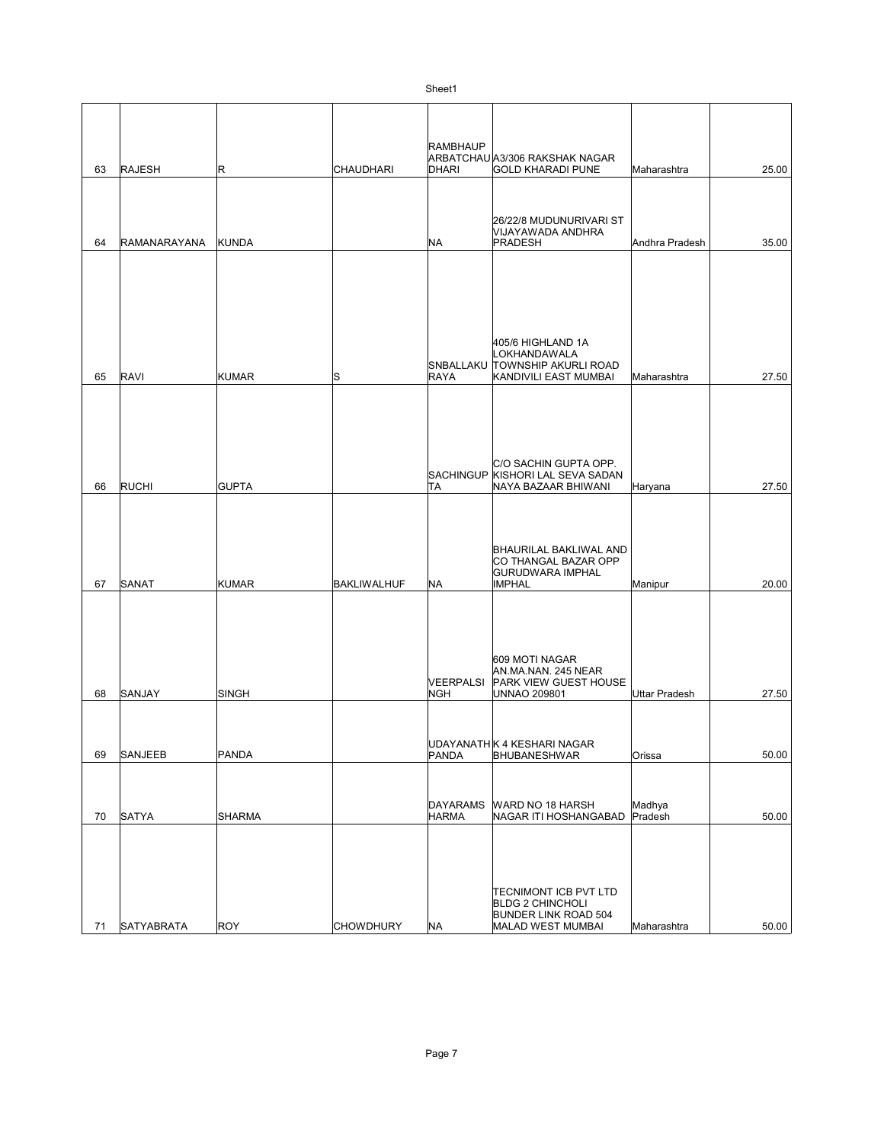|    |                   |               |                  | <b>RAMBHAUP</b>  | ARBATCHAU A3/306 RAKSHAK NAGAR                            |                      |       |
|----|-------------------|---------------|------------------|------------------|-----------------------------------------------------------|----------------------|-------|
| 63 | <b>RAJESH</b>     | R             | CHAUDHARI        | <b>DHARI</b>     | <b>GOLD KHARADI PUNE</b>                                  | Maharashtra          | 25.00 |
|    |                   |               |                  |                  |                                                           |                      |       |
|    |                   |               |                  |                  | 26/22/8 MUDUNURIVARI ST                                   |                      |       |
| 64 | RAMANARAYANA      | <b>KUNDA</b>  |                  | <b>NA</b>        | VIJAYAWADA ANDHRA<br>PRADESH                              | Andhra Pradesh       | 35.00 |
|    |                   |               |                  |                  |                                                           |                      |       |
|    |                   |               |                  |                  |                                                           |                      |       |
|    |                   |               |                  |                  |                                                           |                      |       |
|    |                   |               |                  |                  |                                                           |                      |       |
|    |                   |               |                  |                  | 405/6 HIGHLAND 1A                                         |                      |       |
|    |                   |               |                  |                  | LOKHANDAWALA<br>SNBALLAKU TOWNSHIP AKURLI ROAD            |                      |       |
| 65 | <b>RAVI</b>       | <b>KUMAR</b>  | ls               | <b>RAYA</b>      | KANDIVILI EAST MUMBAI                                     | Maharashtra          | 27.50 |
|    |                   |               |                  |                  |                                                           |                      |       |
|    |                   |               |                  |                  |                                                           |                      |       |
|    |                   |               |                  |                  |                                                           |                      |       |
|    |                   |               |                  |                  | C/O SACHIN GUPTA OPP.<br>SACHINGUP KISHORI LAL SEVA SADAN |                      |       |
| 66 | <b>RUCHI</b>      | <b>GUPTA</b>  |                  | TA               | NAYA BAZAAR BHIWANI                                       | Haryana              | 27.50 |
|    |                   |               |                  |                  |                                                           |                      |       |
|    |                   |               |                  |                  |                                                           |                      |       |
|    |                   |               |                  |                  | BHAURILAL BAKLIWAL AND<br>CO THANGAL BAZAR OPP            |                      |       |
|    |                   |               |                  |                  | <b>GURUDWARA IMPHAL</b>                                   |                      |       |
| 67 | SANAT             | <b>KUMAR</b>  | BAKLIWALHUF      | <b>NA</b>        | <b>IMPHAL</b>                                             | Manipur              | 20.00 |
|    |                   |               |                  |                  |                                                           |                      |       |
|    |                   |               |                  |                  |                                                           |                      |       |
|    |                   |               |                  |                  | 609 MOTI NAGAR                                            |                      |       |
|    |                   |               |                  | <b>VEERPALSI</b> | AN.MA.NAN. 245 NEAR<br>PARK VIEW GUEST HOUSE              |                      |       |
| 68 | SANJAY            | SINGH         |                  | <b>NGH</b>       | <b>UNNAO 209801</b>                                       | <b>Uttar Pradesh</b> | 27.50 |
|    |                   |               |                  |                  |                                                           |                      |       |
|    |                   |               |                  |                  | UDAYANATH K 4 KESHARI NAGAR                               |                      |       |
| 69 | <b>SANJEEB</b>    | PANDA         |                  | <b>PANDA</b>     | <b>BHUBANESHWAR</b>                                       | Orissa               | 50.00 |
|    |                   |               |                  |                  |                                                           |                      |       |
|    |                   |               |                  | <b>DAYARAMS</b>  | WARD NO 18 HARSH                                          | Madhya               |       |
| 70 | <b>SATYA</b>      | <b>SHARMA</b> |                  | <b>HARMA</b>     | NAGAR ITI HOSHANGABAD                                     | Pradesh              | 50.00 |
|    |                   |               |                  |                  |                                                           |                      |       |
|    |                   |               |                  |                  |                                                           |                      |       |
|    |                   |               |                  |                  | <b>TECNIMONT ICB PVT LTD</b>                              |                      |       |
|    |                   |               |                  |                  | <b>BLDG 2 CHINCHOLI</b><br>BUNDER LINK ROAD 504           |                      |       |
| 71 | <b>SATYABRATA</b> | <b>ROY</b>    | <b>CHOWDHURY</b> | <b>NA</b>        | MALAD WEST MUMBAI                                         | Maharashtra          | 50.00 |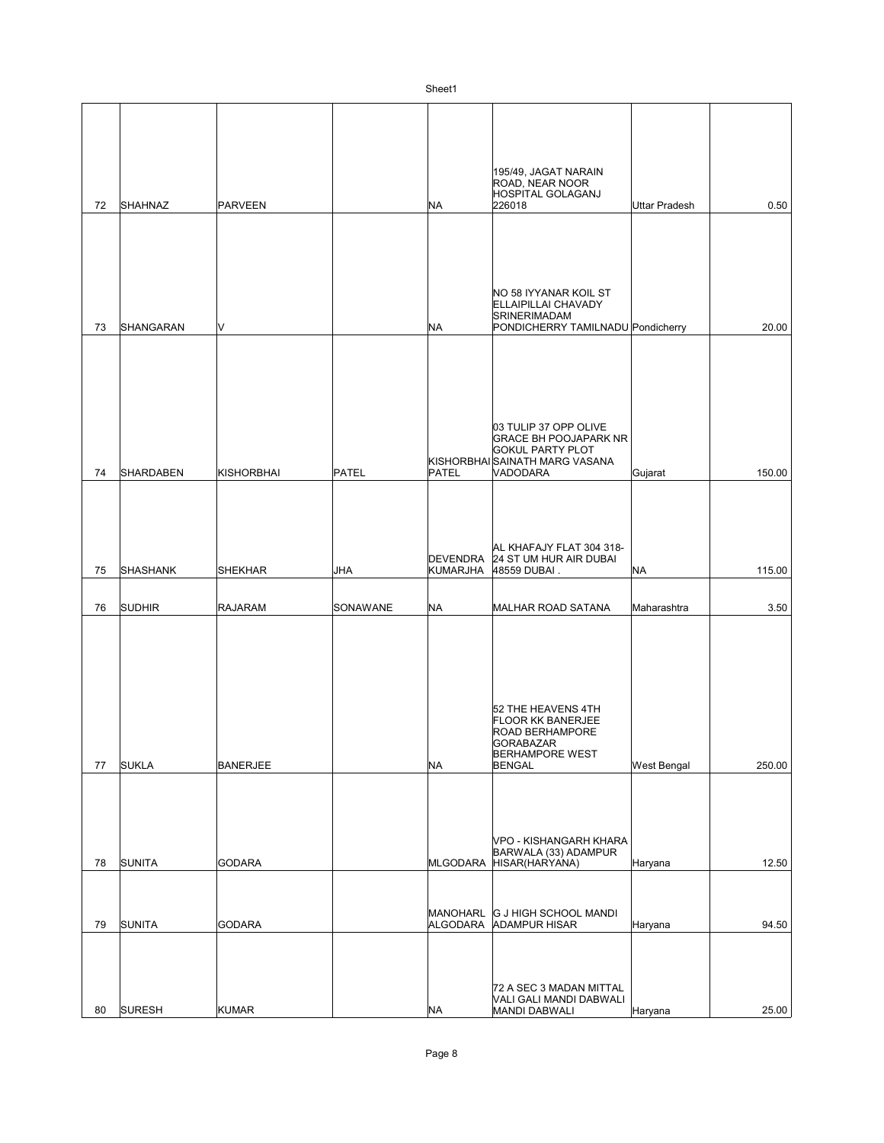|    |                  |                   |          | ו וסטווט                    |                                                                                                                                  |                      |        |
|----|------------------|-------------------|----------|-----------------------------|----------------------------------------------------------------------------------------------------------------------------------|----------------------|--------|
| 72 | <b>SHAHNAZ</b>   | <b>PARVEEN</b>    |          | NA                          | 195/49, JAGAT NARAIN<br>ROAD, NEAR NOOR<br>HOSPITAL GOLAGANJ<br>226018                                                           | <b>Uttar Pradesh</b> | 0.50   |
| 73 | SHANGARAN        | M                 |          | <b>NA</b>                   | NO 58 IYYANAR KOIL ST<br>ELLAIPILLAI CHAVADY<br>SRINERIMADAM<br>PONDICHERRY TAMILNADU Pondicherry                                |                      | 20.00  |
| 74 | <b>SHARDABEN</b> | <b>KISHORBHAI</b> | PATEL    | <b>PATEL</b>                | 03 TULIP 37 OPP OLIVE<br><b>GRACE BH POOJAPARK NR</b><br><b>GOKUL PARTY PLOT</b><br>KISHORBHAISAINATH MARG VASANA<br>VADODARA    | Gujarat              | 150.00 |
| 75 | SHASHANK         | <b>SHEKHAR</b>    | JHA      | KUMARJHA                    | AL KHAFAJY FLAT 304 318-<br>DEVENDRA 24 ST UM HUR AIR DUBAI<br>48559 DUBAI.                                                      | <b>NA</b>            | 115.00 |
| 76 | <b>SUDHIR</b>    | <b>RAJARAM</b>    | SONAWANE | NA                          | MALHAR ROAD SATANA                                                                                                               | Maharashtra          | 3.50   |
| 77 | <b>SUKLA</b>     | <b>BANERJEE</b>   |          | <b>NA</b>                   | 52 THE HEAVENS 4TH<br><b>FLOOR KK BANERJEE</b><br><b>ROAD BERHAMPORE</b><br>GORABAZAR<br><b>BERHAMPORE WEST</b><br><b>BENGAL</b> | West Bengal          | 250.00 |
| 78 | <b>SUNITA</b>    | <b>GODARA</b>     |          | MLGODARA                    | VPO - KISHANGARH KHARA<br>BARWALA (33) ADAMPUR<br>HISAR(HARYANA)                                                                 | Haryana              | 12.50  |
| 79 | <b>SUNITA</b>    | <b>GODARA</b>     |          | <b>MANOHARL</b><br>ALGODARA | G J HIGH SCHOOL MANDI<br><b>ADAMPUR HISAR</b>                                                                                    | Haryana              | 94.50  |
| 80 | <b>SURESH</b>    | <b>KUMAR</b>      |          | ΝA                          | 72 A SEC 3 MADAN MITTAL<br>VALI GALI MANDI DABWALI<br>MANDI DABWALI                                                              | Haryana              | 25.00  |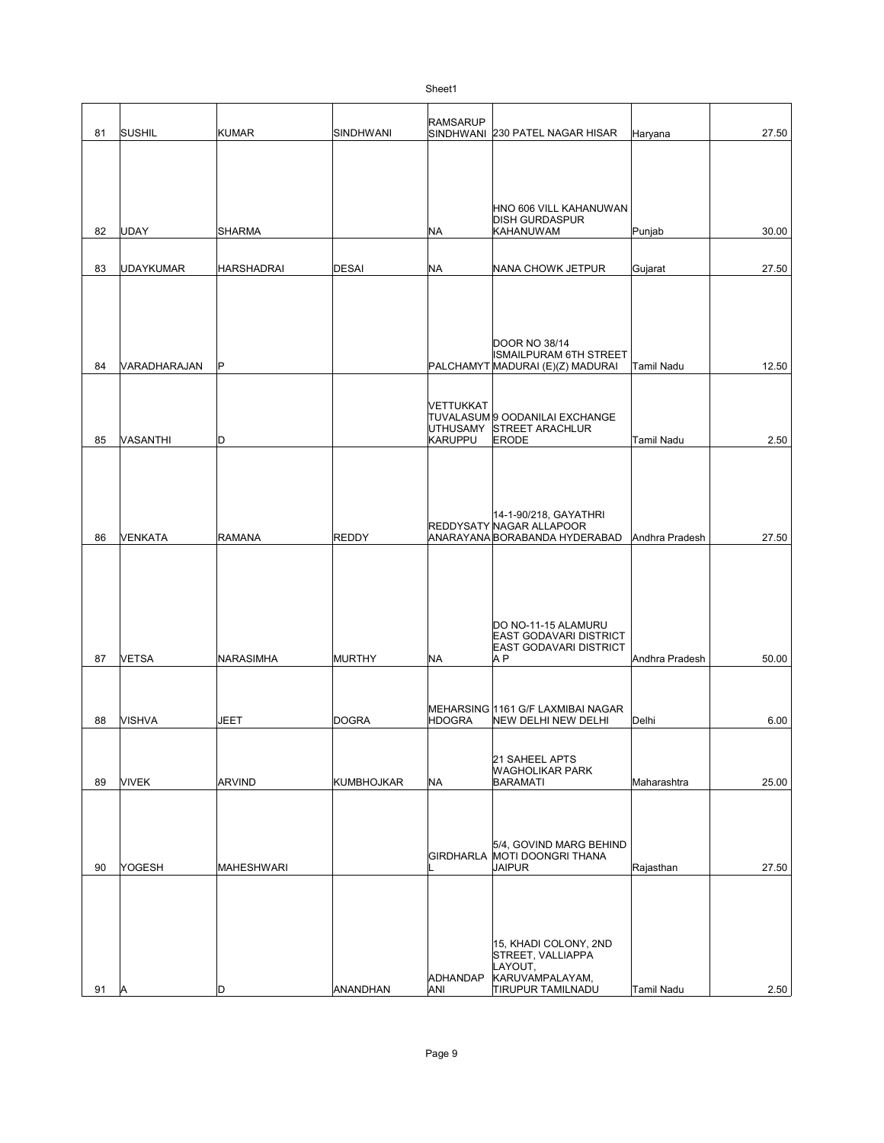|    |               |                   |              | ו וסטווט                   |                                                           |                   |       |
|----|---------------|-------------------|--------------|----------------------------|-----------------------------------------------------------|-------------------|-------|
|    |               |                   |              | <b>RAMSARUP</b>            |                                                           |                   |       |
| 81 | <b>SUSHIL</b> | <b>KUMAR</b>      | SINDHWANI    |                            | SINDHWANI 230 PATEL NAGAR HISAR                           | Haryana           | 27.50 |
|    |               |                   |              |                            |                                                           |                   |       |
|    |               |                   |              |                            |                                                           |                   |       |
|    |               |                   |              |                            |                                                           |                   |       |
|    |               |                   |              |                            |                                                           |                   |       |
|    |               |                   |              |                            | HNO 606 VILL KAHANUWAN<br><b>DISH GURDASPUR</b>           |                   |       |
| 82 | UDAY          | <b>SHARMA</b>     |              | <b>NA</b>                  | <b>KAHANUWAM</b>                                          | Punjab            | 30.00 |
|    |               |                   |              |                            |                                                           |                   |       |
| 83 | UDAYKUMAR     | <b>HARSHADRAI</b> | <b>DESAI</b> | <b>NA</b>                  | NANA CHOWK JETPUR                                         | Gujarat           | 27.50 |
|    |               |                   |              |                            |                                                           |                   |       |
|    |               |                   |              |                            |                                                           |                   |       |
|    |               |                   |              |                            |                                                           |                   |       |
|    |               |                   |              |                            |                                                           |                   |       |
|    |               |                   |              |                            | <b>DOOR NO 38/14</b><br><b>ISMAILPURAM 6TH STREET</b>     |                   |       |
| 84 | VARADHARAJAN  | P                 |              |                            | PALCHAMYT MADURAI (E)(Z) MADURAI                          | Tamil Nadu        | 12.50 |
|    |               |                   |              |                            |                                                           |                   |       |
|    |               |                   |              | VETTUKKAT                  |                                                           |                   |       |
|    |               |                   |              |                            | TUVALASUM 9 OODANILAI EXCHANGE                            |                   |       |
| 85 | VASANTHI      | D                 |              | <b>UTHUSAMY</b><br>KARUPPU | STREET ARACHLUR                                           | <b>Tamil Nadu</b> |       |
|    |               |                   |              |                            | <b>ERODE</b>                                              |                   | 2.50  |
|    |               |                   |              |                            |                                                           |                   |       |
|    |               |                   |              |                            |                                                           |                   |       |
|    |               |                   |              |                            |                                                           |                   |       |
|    |               |                   |              |                            | 14-1-90/218, GAYATHRI                                     |                   |       |
| 86 | VENKATA       | <b>RAMANA</b>     | <b>REDDY</b> |                            | REDDYSATY NAGAR ALLAPOOR<br>ANARAYANA BORABANDA HYDERABAD | Andhra Pradesh    | 27.50 |
|    |               |                   |              |                            |                                                           |                   |       |
|    |               |                   |              |                            |                                                           |                   |       |
|    |               |                   |              |                            |                                                           |                   |       |
|    |               |                   |              |                            |                                                           |                   |       |
|    |               |                   |              |                            |                                                           |                   |       |
|    |               |                   |              |                            | DO NO-11-15 ALAMURU<br>EAST GODAVARI DISTRICT             |                   |       |
|    |               |                   |              |                            | EAST GODAVARI DISTRICT                                    |                   |       |
| 87 | <b>VETSA</b>  | <b>NARASIMHA</b>  | MURTHY       | <b>NA</b>                  | A P                                                       | Andhra Pradesh    | 50.00 |
|    |               |                   |              |                            |                                                           |                   |       |
|    |               |                   |              |                            |                                                           |                   |       |
| 88 | <b>VISHVA</b> | <b>JEET</b>       | <b>DOGRA</b> | <b>HDOGRA</b>              | MEHARSING 1161 G/F LAXMIBAI NAGAR<br>NEW DELHI NEW DELHI  | Delhi             | 6.00  |
|    |               |                   |              |                            |                                                           |                   |       |
|    |               |                   |              |                            |                                                           |                   |       |
|    |               |                   |              |                            | 21 SAHEEL APTS<br><b>WAGHOLIKAR PARK</b>                  |                   |       |
| 89 | <b>VIVEK</b>  | <b>ARVIND</b>     | KUMBHOJKAR   | <b>NA</b>                  | <b>BARAMATI</b>                                           | Maharashtra       | 25.00 |
|    |               |                   |              |                            |                                                           |                   |       |
|    |               |                   |              |                            |                                                           |                   |       |
|    |               |                   |              |                            |                                                           |                   |       |
|    |               |                   |              |                            | 5/4, GOVIND MARG BEHIND<br>GIRDHARLA MOTI DOONGRI THANA   |                   |       |
| 90 | YOGESH        | <b>MAHESHWARI</b> |              |                            | <b>JAIPUR</b>                                             | Rajasthan         | 27.50 |
|    |               |                   |              |                            |                                                           |                   |       |
|    |               |                   |              |                            |                                                           |                   |       |
|    |               |                   |              |                            |                                                           |                   |       |
|    |               |                   |              |                            |                                                           |                   |       |
|    |               |                   |              |                            | 15, KHADI COLONY, 2ND<br>STREET, VALLIAPPA                |                   |       |
|    |               |                   |              |                            | LAYOUT,                                                   |                   |       |
| 91 | ΙA            | D                 | ANANDHAN     | <b>ADHANDAP</b><br>ANI     | KARUVAMPALAYAM,<br><b>TIRUPUR TAMILNADU</b>               | Tamil Nadu        | 2.50  |
|    |               |                   |              |                            |                                                           |                   |       |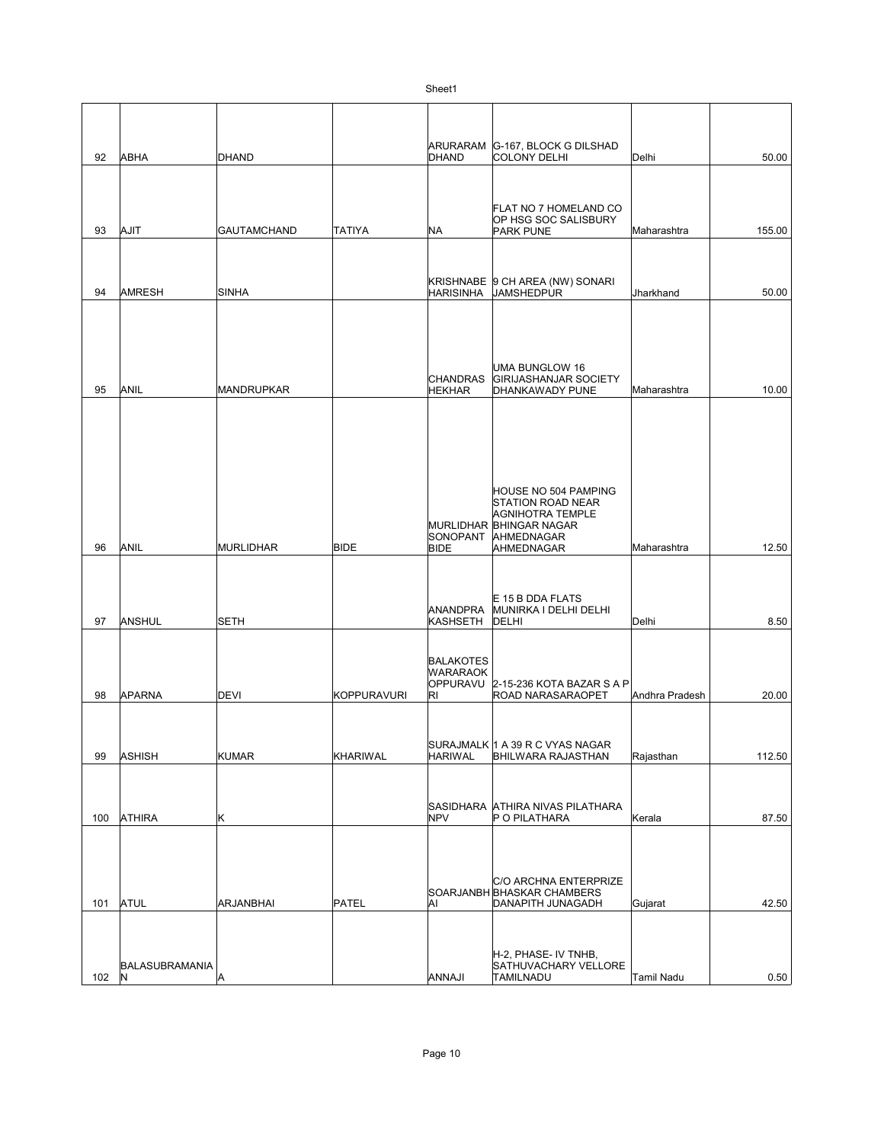| 92  | <b>ABHA</b>           | DHAND              |               | <b>DHAND</b>                       | ARURARAM G-167, BLOCK G DILSHAD<br><b>COLONY DELHI</b> | Delhi             | 50.00  |
|-----|-----------------------|--------------------|---------------|------------------------------------|--------------------------------------------------------|-------------------|--------|
|     |                       |                    |               |                                    |                                                        |                   |        |
|     |                       |                    |               |                                    |                                                        |                   |        |
|     |                       |                    |               |                                    | FLAT NO 7 HOMELAND CO<br>OP HSG SOC SALISBURY          |                   |        |
| 93  | AJIT                  | <b>GAUTAMCHAND</b> | <b>TATIYA</b> | <b>NA</b>                          | <b>PARK PUNE</b>                                       | Maharashtra       | 155.00 |
|     |                       |                    |               |                                    |                                                        |                   |        |
| 94  | <b>AMRESH</b>         | <b>SINHA</b>       |               | HARISINHA                          | KRISHNABE  9 CH AREA (NW) SONARI<br><b>JAMSHEDPUR</b>  | Jharkhand         | 50.00  |
|     |                       |                    |               |                                    |                                                        |                   |        |
|     |                       |                    |               |                                    |                                                        |                   |        |
|     |                       |                    |               |                                    |                                                        |                   |        |
|     |                       |                    |               |                                    | <b>UMA BUNGLOW 16</b>                                  |                   |        |
| 95  | ANIL                  | <b>MANDRUPKAR</b>  |               | <b>CHANDRAS</b><br><b>HEKHAR</b>   | <b>GIRIJASHANJAR SOCIETY</b><br>DHANKAWADY PUNE        | Maharashtra       | 10.00  |
|     |                       |                    |               |                                    |                                                        |                   |        |
|     |                       |                    |               |                                    |                                                        |                   |        |
|     |                       |                    |               |                                    |                                                        |                   |        |
|     |                       |                    |               |                                    |                                                        |                   |        |
|     |                       |                    |               |                                    | HOUSE NO 504 PAMPING                                   |                   |        |
|     |                       |                    |               |                                    | <b>STATION ROAD NEAR</b><br><b>AGNIHOTRA TEMPLE</b>    |                   |        |
|     |                       |                    |               | SONOPANT                           | MURLIDHAR BHINGAR NAGAR<br>AHMEDNAGAR                  |                   |        |
| 96  | ANIL                  | <b>MURLIDHAR</b>   | <b>BIDE</b>   | <b>BIDE</b>                        | AHMEDNAGAR                                             | Maharashtra       | 12.50  |
|     |                       |                    |               |                                    |                                                        |                   |        |
|     |                       |                    |               |                                    | E 15 B DDA FLATS                                       |                   |        |
| 97  | ANSHUL                | <b>SETH</b>        |               | <b>ANANDPRA</b><br><b>KASHSETH</b> | MUNIRKA I DELHI DELHI<br>DELHI                         | Delhi             | 8.50   |
|     |                       |                    |               |                                    |                                                        |                   |        |
|     |                       |                    |               | <b>BALAKOTES</b>                   |                                                        |                   |        |
|     |                       |                    |               | <b>WARARAOK</b>                    | OPPURAVU 2-15-236 KOTA BAZAR S A P                     |                   |        |
| 98  | <b>APARNA</b>         | <b>DEVI</b>        | KOPPURAVURI   | RI                                 | ROAD NARASARAOPET                                      | Andhra Pradesh    | 20.00  |
|     |                       |                    |               |                                    |                                                        |                   |        |
|     |                       |                    |               |                                    | SURAJMALK 1 A 39 R C VYAS NAGAR                        |                   |        |
| 99  | ASHISH                | <b>KUMAR</b>       | KHARIWAL      | <b>HARIWAL</b>                     | BHILWARA RAJASTHAN                                     | Rajasthan         | 112.50 |
|     |                       |                    |               |                                    |                                                        |                   |        |
|     |                       |                    |               |                                    | SASIDHARA ATHIRA NIVAS PILATHARA                       |                   |        |
| 100 | <b>ATHIRA</b>         | Κ                  |               | <b>NPV</b>                         | P O PILATHARA                                          | Kerala            | 87.50  |
|     |                       |                    |               |                                    |                                                        |                   |        |
|     |                       |                    |               |                                    |                                                        |                   |        |
|     |                       |                    |               |                                    | C/O ARCHNA ENTERPRIZE<br>SOARJANBH BHASKAR CHAMBERS    |                   |        |
| 101 | <b>ATUL</b>           | ARJANBHAI          | PATEL         | Al                                 | DANAPITH JUNAGADH                                      | Gujarat           | 42.50  |
|     |                       |                    |               |                                    |                                                        |                   |        |
|     |                       |                    |               |                                    | H-2, PHASE- IV TNHB,                                   |                   |        |
| 102 | BALASUBRAMANIA<br>IN. | Α                  |               | ANNAJI                             | SATHUVACHARY VELLORE<br><b>TAMILNADU</b>               | <b>Tamil Nadu</b> | 0.50   |
|     |                       |                    |               |                                    |                                                        |                   |        |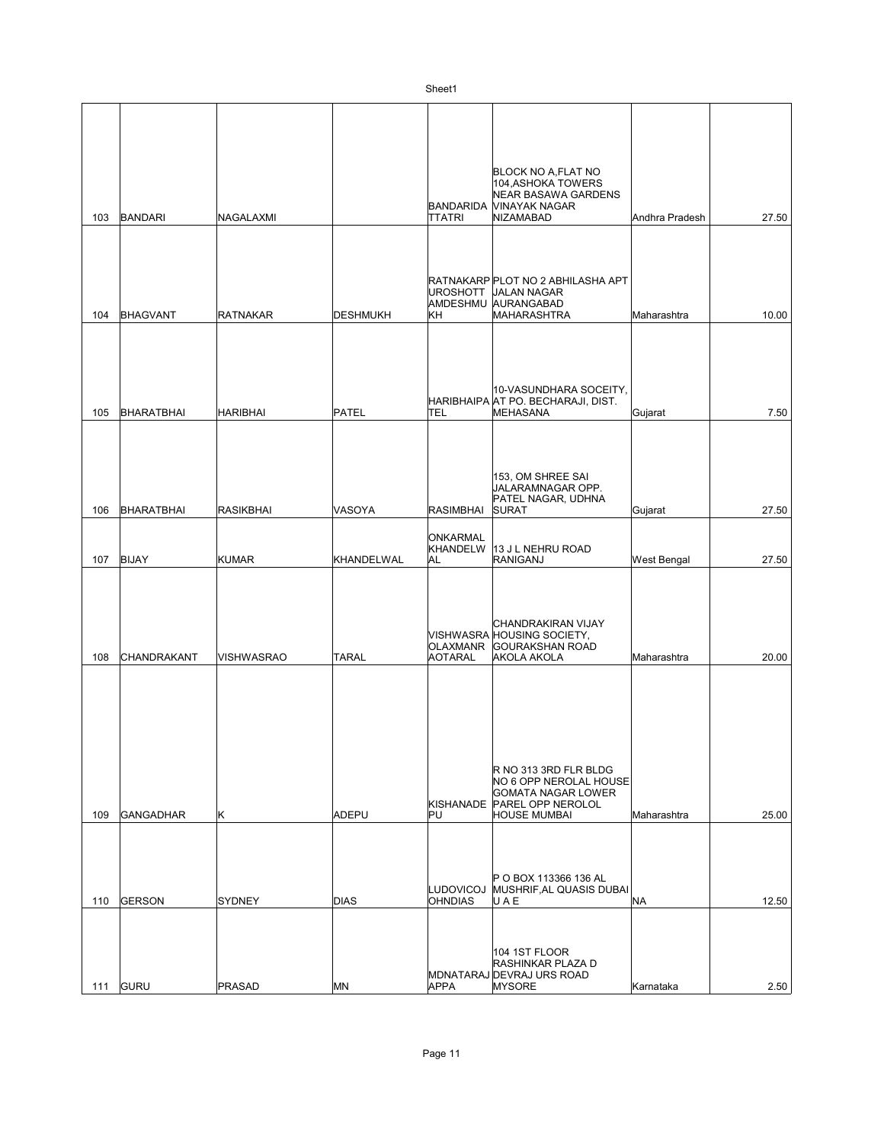|     |                   |                   |                 |                                    | BLOCK NO A,FLAT NO<br>104, ASHOKA TOWERS<br><b>NEAR BASAWA GARDENS</b>                                                      |                |       |
|-----|-------------------|-------------------|-----------------|------------------------------------|-----------------------------------------------------------------------------------------------------------------------------|----------------|-------|
| 103 | <b>BANDARI</b>    | NAGALAXMI         |                 | BANDARIDA<br><b>TTATRI</b>         | VINAYAK NAGAR<br>NIZAMABAD                                                                                                  | Andhra Pradesh | 27.50 |
|     |                   |                   |                 | <b>UROSHOTT</b>                    | RATNAKARP PLOT NO 2 ABHILASHA APT<br><b>JALAN NAGAR</b><br>AMDESHMU AURANGABAD                                              |                |       |
| 104 | <b>BHAGVANT</b>   | <b>RATNAKAR</b>   | <b>DESHMUKH</b> | KH                                 | MAHARASHTRA<br>10-VASUNDHARA SOCEITY,                                                                                       | Maharashtra    | 10.00 |
| 105 | <b>BHARATBHAI</b> | <b>HARIBHAI</b>   | PATEL           | <b>TEL</b>                         | HARIBHAIPA AT PO. BECHARAJI, DIST.<br>MEHASANA<br>153, OM SHREE SAI<br>JALARAMNAGAR OPP.<br>PATEL NAGAR, UDHNA              | Gujarat        | 7.50  |
| 106 | <b>BHARATBHAI</b> | <b>RASIKBHAI</b>  | VASOYA          | <b>RASIMBHAI</b>                   | <b>SURAT</b>                                                                                                                | Gujarat        | 27.50 |
| 107 | <b>BIJAY</b>      | <b>KUMAR</b>      | KHANDELWAL      | ONKARMAL<br><b>KHANDELW</b><br>AL  | 13 J L NEHRU ROAD<br>RANIGANJ                                                                                               | West Bengal    | 27.50 |
| 108 | CHANDRAKANT       | <b>VISHWASRAO</b> | <b>TARAL</b>    | <b>OLAXMANR</b><br><b>AOTARAL</b>  | CHANDRAKIRAN VIJAY<br>VISHWASRA HOUSING SOCIETY,<br><b>GOURAKSHAN ROAD</b><br><b>AKOLA AKOLA</b>                            | Maharashtra    | 20.00 |
| 109 | <b>GANGADHAR</b>  | Κ                 | <b>ADEPU</b>    | <b>PU</b>                          | R NO 313 3RD FLR BLDG<br>NO 6 OPP NEROLAL HOUSE<br>GOMATA NAGAR LOWER<br>KISHANADE PAREL OPP NEROLOL<br><b>HOUSE MUMBAI</b> | Maharashtra    | 25.00 |
| 110 | <b>GERSON</b>     | <b>SYDNEY</b>     | <b>DIAS</b>     | <b>LUDOVICOJ</b><br><b>OHNDIAS</b> | IP O BOX 113366 136 AL<br>MUSHRIF, AL QUASIS DUBAI<br>UAE                                                                   | NA             | 12.50 |
| 111 | GURU              | <b>PRASAD</b>     | MN              | <b>APPA</b>                        | 104 1ST FLOOR<br>RASHINKAR PLAZA D<br>MDNATARAJ DEVRAJ URS ROAD<br><b>MYSORE</b>                                            | Karnataka      | 2.50  |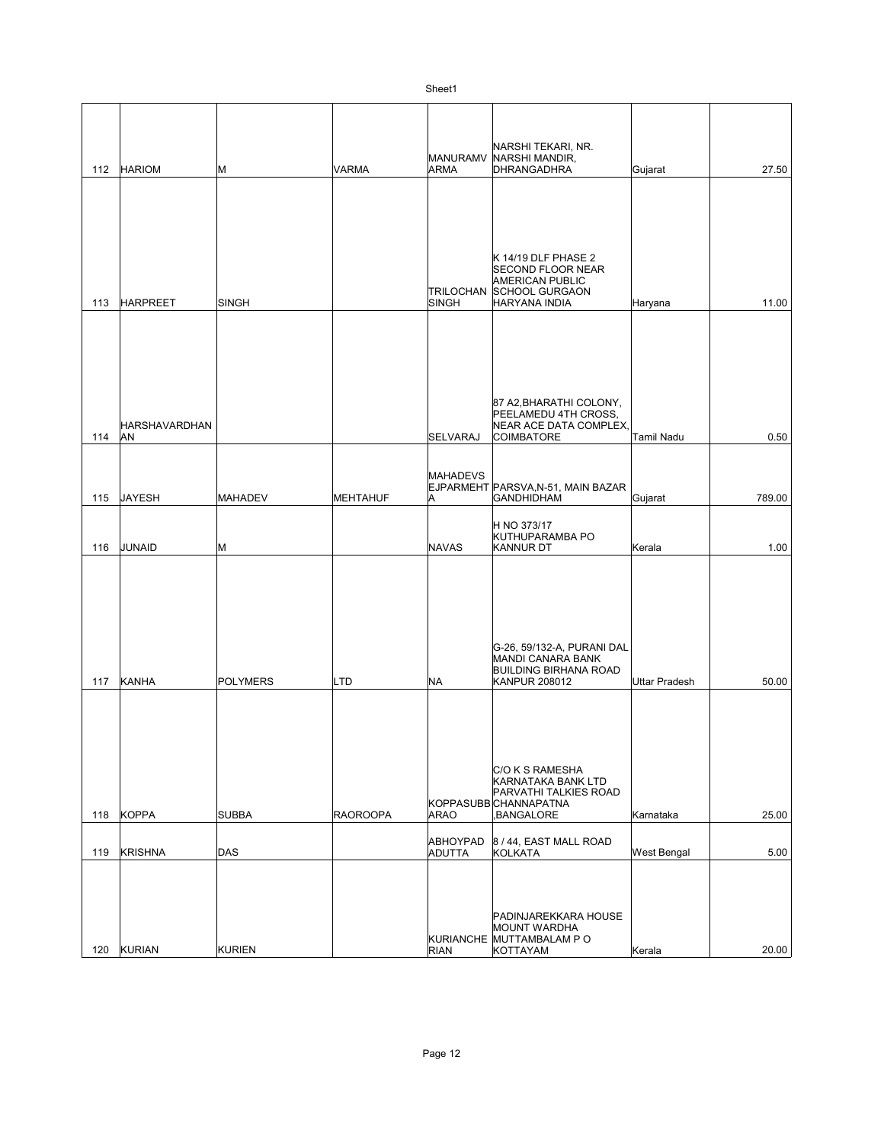| 112 | <b>HARIOM</b>               | М               | VARMA           | MANURAMV<br><b>ARMA</b>          | NARSHI TEKARI, NR.<br>NARSHI MANDIR,<br>DHRANGADHRA                                                                 | Gujarat              | 27.50  |
|-----|-----------------------------|-----------------|-----------------|----------------------------------|---------------------------------------------------------------------------------------------------------------------|----------------------|--------|
|     |                             |                 |                 |                                  |                                                                                                                     |                      |        |
| 113 | <b>HARPREET</b>             | <b>SINGH</b>    |                 | <b>TRILOCHAN</b><br><b>SINGH</b> | K 14/19 DLF PHASE 2<br><b>SECOND FLOOR NEAR</b><br><b>AMERICAN PUBLIC</b><br><b>SCHOOL GURGAON</b><br>HARYANA INDIA | Haryana              | 11.00  |
| 114 | <b>HARSHAVARDHAN</b><br>AN. |                 |                 | <b>SELVARAJ</b>                  | 87 A2, BHARATHI COLONY,<br>PEELAMEDU 4TH CROSS,<br>NEAR ACE DATA COMPLEX,<br><b>COIMBATORE</b>                      | Tamil Nadu           | 0.50   |
|     |                             |                 |                 |                                  |                                                                                                                     |                      |        |
| 115 | JAYESH                      | <b>MAHADEV</b>  | MEHTAHUF        | <b>MAHADEVS</b><br>A             | EJPARMEHT PARSVA, N-51, MAIN BAZAR<br><b>GANDHIDHAM</b>                                                             | Gujarat              | 789.00 |
|     |                             |                 |                 |                                  | H NO 373/17                                                                                                         |                      |        |
| 116 | JUNAID                      | М               |                 | <b>NAVAS</b>                     | KUTHUPARAMBA PO<br>KANNUR DT                                                                                        | Kerala               | 1.00   |
| 117 | KANHA                       | <b>POLYMERS</b> | LTD             | <b>NA</b>                        | G-26, 59/132-A, PURANI DAL<br>MANDI CANARA BANK<br><b>BUILDING BIRHANA ROAD</b><br><b>KANPUR 208012</b>             | <b>Uttar Pradesh</b> | 50.00  |
| 118 | <b>KOPPA</b>                | <b>SUBBA</b>    | <b>RAOROOPA</b> | <b>ARAO</b>                      | C/O K S RAMESHA<br>KARNATAKA BANK LTD<br>PARVATHI TALKIES ROAD<br>KOPPASUBB CHANNAPATNA<br>BANGALORE,               | Karnataka            | 25.00  |
| 119 | KRISHNA                     | DAS             |                 | ABHOYPAD<br>ADUTTA               | 8 / 44, EAST MALL ROAD<br>KOLKATA                                                                                   | West Bengal          | 5.00   |
|     | 120 KURIAN                  | <b>KURIEN</b>   |                 | <b>RIAN</b>                      | PADINJAREKKARA HOUSE<br><b>MOUNT WARDHA</b><br>KURIANCHE MUTTAMBALAM PO<br>KOTTAYAM                                 | Kerala               | 20.00  |

 $\overline{\phantom{a}}$ 

 $\overline{\phantom{a}}$ 

 $\overline{\phantom{a}}$ 

 $\overline{1}$ 

 $\overline{\phantom{a}}$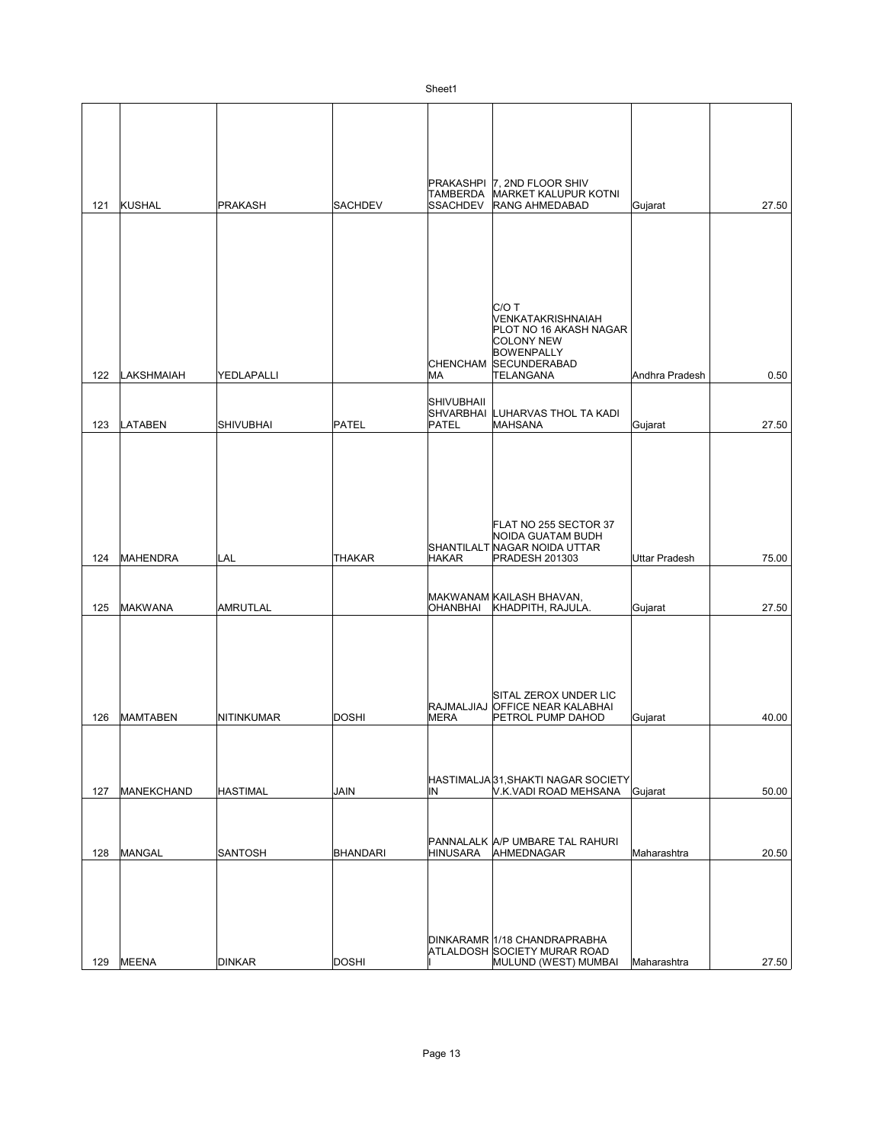| 121 | KUSHAL          | <b>PRAKASH</b>   | <b>SACHDEV</b>  | <b>TAMBERDA</b><br><b>SSACHDEV</b> | PRAKASHPI 7. 2ND FLOOR SHIV<br>MARKET KALUPUR KOTNI<br><b>RANG AHMEDABAD</b>                                                               | Gujarat        | 27.50 |
|-----|-----------------|------------------|-----------------|------------------------------------|--------------------------------------------------------------------------------------------------------------------------------------------|----------------|-------|
|     |                 |                  |                 |                                    |                                                                                                                                            |                |       |
| 122 | LAKSHMAIAH      | YEDLAPALLI       |                 | МA                                 | C/OT<br>VENKATAKRISHNAIAH<br>PLOT NO 16 AKASH NAGAR<br><b>COLONY NEW</b><br><b>BOWENPALLY</b><br>CHENCHAM SECUNDERABAD<br><b>TELANGANA</b> | Andhra Pradesh | 0.50  |
| 123 | <b>LATABEN</b>  | <b>SHIVUBHAI</b> | PATEL           | SHIVUBHAII<br>PATEL                | SHVARBHAI LUHARVAS THOL TA KADI<br>MAHSANA                                                                                                 | Gujarat        | 27.50 |
|     |                 |                  |                 |                                    |                                                                                                                                            |                |       |
| 124 | MAHENDRA        | LAL              | THAKAR          | HAKAR                              | FLAT NO 255 SECTOR 37<br>NOIDA GUATAM BUDH<br>SHANTILALT NAGAR NOIDA UTTAR<br><b>PRADESH 201303</b>                                        | Uttar Pradesh  | 75.00 |
| 125 | <b>MAKWANA</b>  | <b>AMRUTLAL</b>  |                 | <b>OHANBHAI</b>                    | MAKWANAM KAILASH BHAVAN,<br>KHADPITH, RAJULA.                                                                                              | Gujarat        | 27.50 |
| 126 | <b>MAMTABEN</b> | NITINKUMAR       | <b>DOSHI</b>    | <b>MERA</b>                        | SITAL ZEROX UNDER LIC<br>RAJMALJIAJ OFFICE NEAR KALABHAI<br>PETROL PUMP DAHOD                                                              | Gujarat        | 40.00 |
| 127 | MANEKCHAND      | <b>HASTIMAL</b>  | <b>JAIN</b>     | IN                                 | HASTIMALJA 31, SHAKTI NAGAR SOCIETY<br>V.K.VADI ROAD MEHSANA                                                                               | Gujarat        | 50.00 |
| 128 | MANGAL          | <b>SANTOSH</b>   | <b>BHANDARI</b> | <b>HINUSARA</b>                    | PANNALALK A/P UMBARE TAL RAHURI<br>AHMEDNAGAR                                                                                              | Maharashtra    | 20.50 |
| 129 | <b>MEENA</b>    | <b>DINKAR</b>    | <b>DOSHI</b>    |                                    | DINKARAMR 1/18 CHANDRAPRABHA<br>ATLALDOSH SOCIETY MURAR ROAD<br>MULUND (WEST) MUMBAI                                                       | Maharashtra    | 27.50 |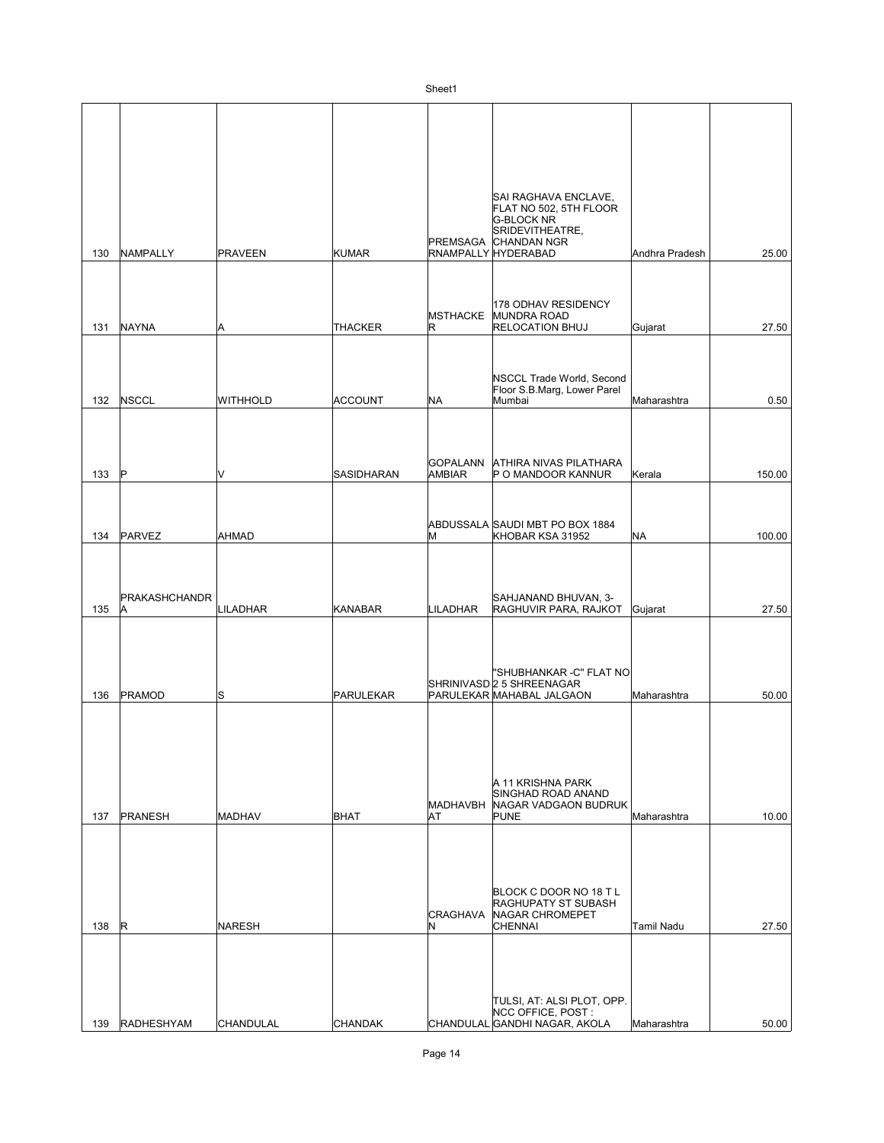| 135 | PRAKASHCHANDR<br> A | <b>LILADHAR</b> | KANABAR        | <b>LILADHAR</b>              | SAHJANAND BHUVAN, 3-<br>RAGHUVIR PARA, RAJKOT                                             | Gujarat           | 27.50 |
|-----|---------------------|-----------------|----------------|------------------------------|-------------------------------------------------------------------------------------------|-------------------|-------|
| 136 | <b>PRAMOD</b>       | S               | PARULEKAR      |                              | "SHUBHANKAR -C" FLAT NO<br>SHRINIVASD 2 5 SHREENAGAR<br>PARULEKAR MAHABAL JALGAON         | Maharashtra       | 50.00 |
| 137 | <b>PRANESH</b>      | <b>MADHAV</b>   | BHAT           | <b>MADHAVBH</b><br><b>AT</b> | A 11 KRISHNA PARK<br>SINGHAD ROAD ANAND<br>NAGAR VADGAON BUDRUK<br>PUNE                   | Maharashtra       | 10.00 |
| 138 | IR.                 | <b>NARESH</b>   |                | <b>CRAGHAVA</b><br>N         | BLOCK C DOOR NO 18 T L<br><b>RAGHUPATY ST SUBASH</b><br>NAGAR CHROMEPET<br><b>CHENNAI</b> | <b>Tamil Nadu</b> | 27.50 |
| 139 | <b>RADHESHYAM</b>   | CHANDULAL       | <b>CHANDAK</b> |                              | TULSI, AT: ALSI PLOT, OPP.<br>NCC OFFICE, POST:<br>CHANDULAL GANDHI NAGAR, AKOLA          | Maharashtra       | 50.00 |

|     |                     |                 |                   | Sheet1                           |                                                                                                                                       |                |        |
|-----|---------------------|-----------------|-------------------|----------------------------------|---------------------------------------------------------------------------------------------------------------------------------------|----------------|--------|
| 130 | NAMPALLY            | <b>PRAVEEN</b>  | <b>KUMAR</b>      |                                  | SAI RAGHAVA ENCLAVE,<br>FLAT NO 502, 5TH FLOOR<br><b>G-BLOCK NR</b><br>SRIDEVITHEATRE,<br>PREMSAGA CHANDAN NGR<br>RNAMPALLY HYDERABAD | Andhra Pradesh | 25.00  |
| 131 | NAYNA               | Α               | <b>THACKER</b>    | <b>MSTHACKE</b><br>R             | 178 ODHAV RESIDENCY<br>MUNDRA ROAD<br><b>RELOCATION BHUJ</b>                                                                          | Gujarat        | 27.50  |
| 132 | <b>NSCCL</b>        | <b>WITHHOLD</b> | ACCOUNT           | <b>NA</b>                        | NSCCL Trade World, Second<br>Floor S.B.Marg, Lower Parel<br>Mumbai                                                                    | Maharashtra    | 0.50   |
| 133 | ΙP                  | V               | <b>SASIDHARAN</b> | <b>GOPALANN</b><br><b>AMBIAR</b> | <b>ATHIRA NIVAS PILATHARA</b><br>P O MANDOOR KANNUR                                                                                   | Kerala         | 150.00 |
| 134 | PARVEZ              | <b>AHMAD</b>    |                   | M                                | ABDUSSALA SAUDI MBT PO BOX 1884<br>KHOBAR KSA 31952                                                                                   | <b>NA</b>      | 100.00 |
| 135 | PRAKASHCHANDR<br> A | LILADHAR        | KANABAR           | LILADHAR                         | SAHJANAND BHUVAN, 3-<br>RAGHUVIR PARA, RAJKOT                                                                                         | Gujarat        | 27.50  |
| 136 | PRAMOD              | lS              | PARULEKAR         |                                  | "SHUBHANKAR -C" FLAT NO<br>SHRINIVASD 2 5 SHREENAGAR<br>PARULEKAR MAHABAL JALGAON                                                     | Maharashtra    | 50.00  |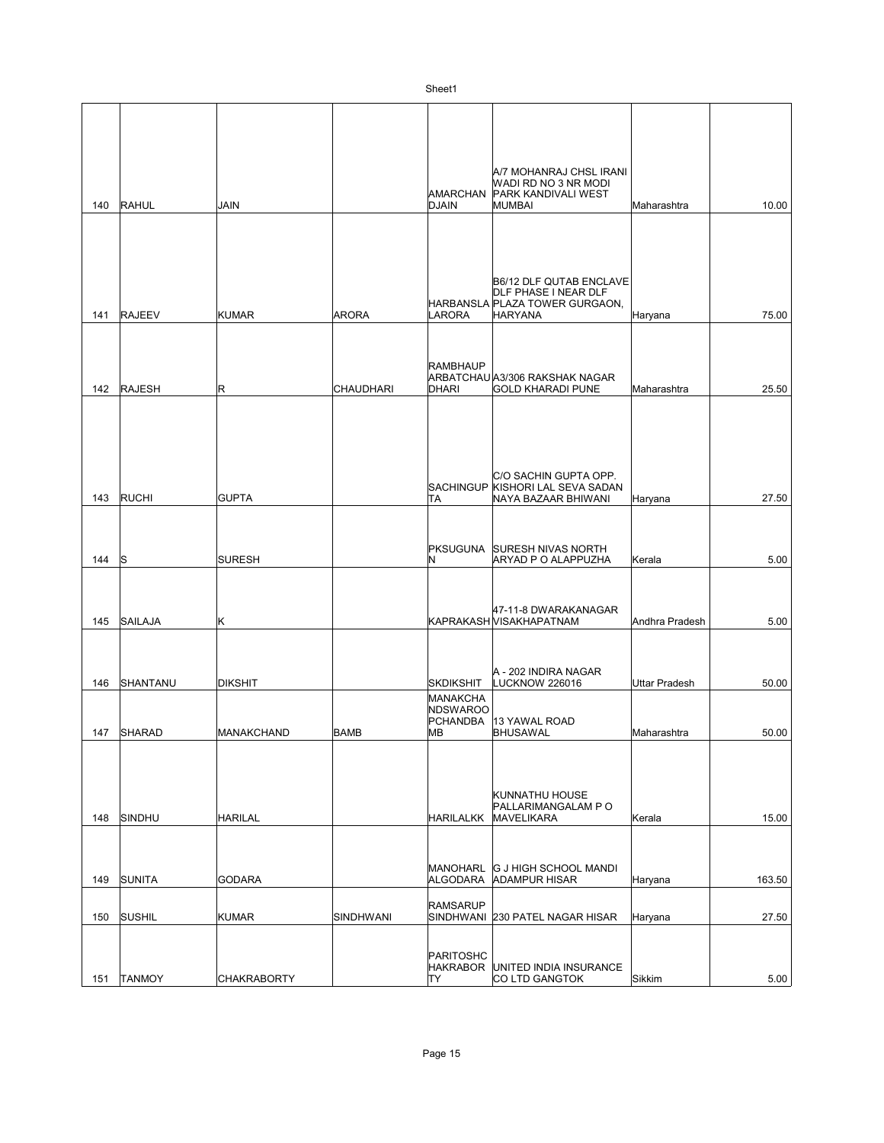|     |               |                    |                  | AMARCHAN                                              | A/7 MOHANRAJ CHSL IRANI<br>WADI RD NO 3 NR MODI<br><b>PARK KANDIVALI WEST</b> |                      |        |
|-----|---------------|--------------------|------------------|-------------------------------------------------------|-------------------------------------------------------------------------------|----------------------|--------|
| 140 | RAHUL         | <b>JAIN</b>        |                  | <b>DJAIN</b>                                          | <b>MUMBAI</b>                                                                 | Maharashtra          | 10.00  |
|     |               |                    |                  |                                                       | B6/12 DLF QUTAB ENCLAVE<br>DLF PHASE I NEAR DLF                               |                      |        |
|     |               |                    |                  |                                                       | HARBANSLA PLAZA TOWER GURGAON.                                                |                      |        |
| 141 | <b>RAJEEV</b> | <b>KUMAR</b>       | <b>ARORA</b>     | <b>LARORA</b>                                         | <b>HARYANA</b>                                                                | Haryana              | 75.00  |
| 142 | <b>RAJESH</b> | R                  | <b>CHAUDHARI</b> | RAMBHAUP<br><b>DHARI</b>                              | ARBATCHAU A3/306 RAKSHAK NAGAR<br><b>GOLD KHARADI PUNE</b>                    | Maharashtra          | 25.50  |
| 143 | RUCHI         | <b>GUPTA</b>       |                  | <b>SACHINGUP</b><br>TA                                | C/O SACHIN GUPTA OPP.<br>KISHORI LAL SEVA SADAN<br>NAYA BAZAAR BHIWANI        | Haryana              | 27.50  |
| 144 | ls            | <b>SURESH</b>      |                  | PKSUGUNA<br>IN.                                       | <b>SURESH NIVAS NORTH</b><br><b>ARYAD P O ALAPPUZHA</b>                       | Kerala               | 5.00   |
| 145 | SAILAJA       | Κ                  |                  |                                                       | 47-11-8 DWARAKANAGAR<br>KAPRAKASH VISAKHAPATNAM                               | Andhra Pradesh       | 5.00   |
| 146 | SHANTANU      | <b>DIKSHIT</b>     |                  | <b>SKDIKSHIT</b>                                      | A - 202 INDIRA NAGAR<br>LUCKNOW 226016                                        | <b>Uttar Pradesh</b> | 50.00  |
| 147 | <b>SHARAD</b> | <b>MANAKCHAND</b>  | <b>BAMB</b>      | MANAKCHA<br><b>NDSWAROO</b><br><b>PCHANDBA</b><br>lМB | 13 YAWAL ROAD<br><b>BHUSAWAL</b>                                              | Maharashtra          | 50.00  |
| 148 | SINDHU        | <b>HARILAL</b>     |                  | HARILALKK                                             | KUNNATHU HOUSE<br>PALLARIMANGALAM P O<br>MAVELIKARA                           | Kerala               | 15.00  |
| 149 | SUNITA        | <b>GODARA</b>      |                  | MANOHARL<br>ALGODARA                                  | <b>G J HIGH SCHOOL MANDI</b><br><b>ADAMPUR HISAR</b>                          | Haryana              | 163.50 |
|     |               |                    |                  | <b>RAMSARUP</b>                                       |                                                                               |                      |        |
| 150 | <b>SUSHIL</b> | KUMAR              | SINDHWANI        |                                                       | SINDHWANI 230 PATEL NAGAR HISAR                                               | Haryana              | 27.50  |
| 151 | <b>TANMOY</b> | <b>CHAKRABORTY</b> |                  | PARITOSHC<br>HAKRABOR<br>TY                           | UNITED INDIA INSURANCE<br>CO LTD GANGTOK                                      | Sikkim               | 5.00   |